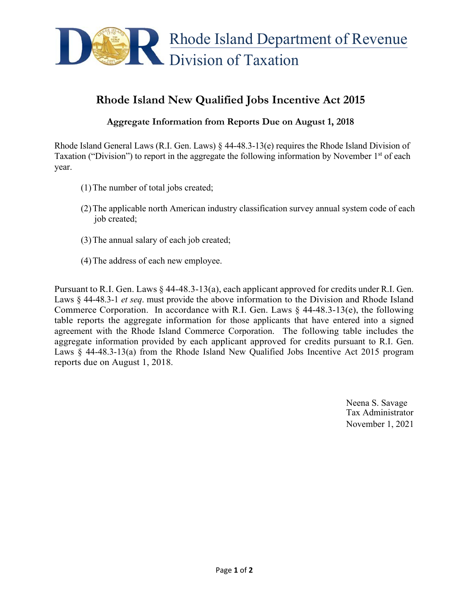

## **Rhode Island New Qualified Jobs Incentive Act 2015**

## **Aggregate Information from Reports Due on August 1, 2018**

Rhode Island General Laws (R.I. Gen. Laws) § 44-48.3-13(e) requires the Rhode Island Division of Taxation ("Division") to report in the aggregate the following information by November  $1<sup>st</sup>$  of each year.

- (1)The number of total jobs created;
- (2)The applicable north American industry classification survey annual system code of each job created;
- (3)The annual salary of each job created;
- (4)The address of each new employee.

Pursuant to R.I. Gen. Laws § 44-48.3-13(a), each applicant approved for credits under R.I. Gen. Laws § 44-48.3-1 *et seq*. must provide the above information to the Division and Rhode Island Commerce Corporation. In accordance with R.I. Gen. Laws  $\S$  44-48.3-13(e), the following table reports the aggregate information for those applicants that have entered into a signed agreement with the Rhode Island Commerce Corporation. The following table includes the aggregate information provided by each applicant approved for credits pursuant to R.I. Gen. Laws § 44-48.3-13(a) from the Rhode Island New Qualified Jobs Incentive Act 2015 program reports due on August 1, 2018.

> Neena S. Savage Tax Administrator November 1, 2021